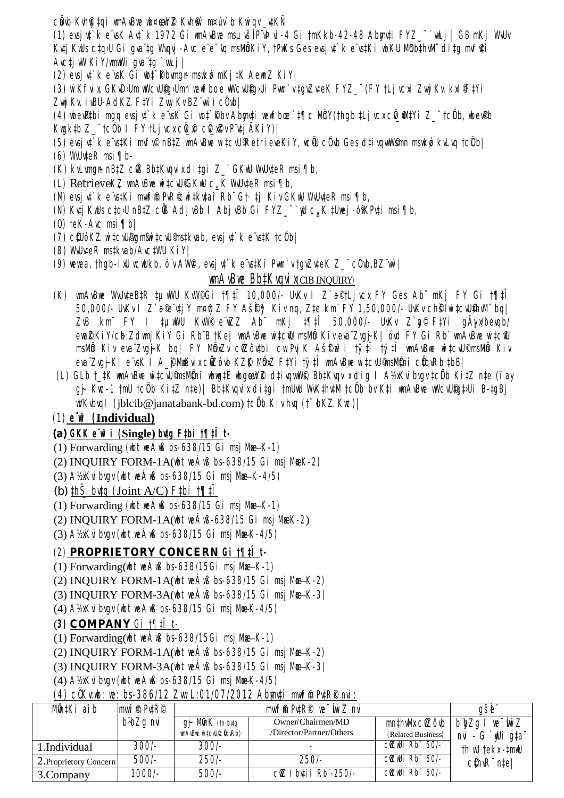cầub Kuhỹ tại wnAvBwe wb¤œwYZ Kuh®` m¤úv`b Kwiqv\_vtKÑ

(1) ersjut`k e rsK Aut`k 1972 Gi umAvBue msµvšĺPvÞvi-4 Gi †mKkb-42-48 Abmu‡i FYZ\_"`wLj | GB mKj WvUv Kuți KuUs cța>U Gi qua ța Wyqui -Avc e e dy msMmki Y, tPuKs Ges evsi ut k e vstKi ubKU MmbthyM" dița myfiți  $A$ vc $\ddagger$ j vW Ki $Y$ /wmwWi qva $\ddagger$ q `wLj |

(2) evsi vt `k e vsK Gi wbt `Rbvmgn mswkó mKj tK AewnZ KiY|

(3) wi Kfvix, GKvDJUm wWcvUfgJUmn wewfboe wWcvUfgJUi Pwn`v tqvZvteK FYZ ¨ (FY tLj vcxi Zwyj Kv, kxl FtYi Zwij Kv, ivBU-AdKZ.FtYi Zwij Kv BZ wr ) c0vbl

(4) whe public may evsint k e vsK Gi wht Rbv Abranti wewfbac tflc MbY(than tLj vcx c0\_Mutyi Z\_"tc0b, whe uPb Kwgktb Z\_¨tc0b I FYtLjvcx c0\_h c0\_x2v Pvtj AKiY)|

- (5) evsi ut`k e vs‡Ki mvfvP nB‡Z wnAvBwe witcvU'RetrieveKiY, wcW cûvb Ges dtivgwWsmn mswkó kvLvg tcûbl  $(6)$  WvU<sub>teR</sub> msi  $\P$ b-
- (K) kvLvmgn nB‡Z cŴ3 Bb‡Kvqvix di‡gi Z\_¨GKwU WvUv‡eR msi¶b,
- (L) RetrieveKZ umAvBue witcuUGKuU c K WuUuteR msi ¶b,
- (M) evsj ut`k e vstKi mwrffi PvR©witkutai Rb Gt·tj Kiv GKwU WuUuteR msi¶b,
- (N) Kutj KuUs ctq>U nBtZ cŴ3 Adj vBb | Abj vBb Gi FYZ\_¨`wU c, K tUwej -óiKPuti msi¶b,
- $(0)$  teK-Avc msi  $\P$ b|
- (7) cÜUóKZ.wi tcvU/figm&wi tcvU9nstkvab, evsj vt`k e vstK tcÜbl
- (8) WullteR mstkvab/AvctWU KiY|
- (9) wewea, thop-ixU wow.Ukb, o'v AWM, evsivt`ke vstKi Pwn`v toyZyteK Z\_" c0vb,BZ"wr |

## **IMAVBIIE BbtKVaVI XCIB INQUIRY)**

- (K) wnAvBwe WiUiteBtR tuwWU KiW©Gi t¶tî 10,000/- UiKi | Z`a©tLjici FY Ges Ab" mKj FY Gi t¶tî 50,000/- UvKv I Z`a®itj Ý m¤tij Z FY AšfFg Kiv nq, Zte km" FY 1,50,000/- UvKv chŠÍwitcvUthvM" bq| ZvB km FY I tµwWU KwV© e wZZ Ab mKj t¶tÎ 50,000/- UvKv Z`g© FtYi gÄyw/bevqb/ ewaZKiY/cb:Zdwnj KiY Gi Rb B †Kej wmAvBwe wi‡ciU msMb Kiv eva Zvgj-K| óvd FY Gi Rb manBwe wi‡ciU msMb Kiv eva ZvqjK bq| FY MbxZv cûZôvtbi cwiPvjK Ašfre3i tytÎ tytî wmAvBwe witcvU©msMb Kiv eva Zvoj-K | e vsK | A\_f Mukix cüZôvb KZfK MöxZ FtYi tytî wnAvBue witcvU msMüni cüqvRb tbB |
- (L) GLb t\_tK wnAvBwe witcvU©nsMÖni wbwgtË wbgewYZ d‡ivgwWS, BbtKvgvix dig I A½xKvibvgv tcÖb KitZ nte (ïay gj- Kwc-1 tmU tcÜb Ki‡Z n‡e)| Bb‡Kvqvix di‡gi tmUwU WvK‡hv‡M tcÜb bv K‡i wnAvBwe wWcvU£g‡JUi B-ţgBj  $W$ Kvbvql (iblcib@janatabank-bd.com)  $\frac{f}{g}$ b Kiv hvq ( $\frac{f}{g}$ bKZ.Kuc)

## $(1)$  e' $\mathbf{u}^3$  (Individual)

## (a)  $GKK e^i\mathbf{P}$ *i* (Single) butg  $F$ tbi  $f$ ¶t*I* t-

- (1) Forwarding (ubt ue  $\angle$ uß bs-638/15 Gi msj Mue-K-1)
- (2) INQUIRY FORM-1A( $\mu$ bt  $\mu$ eÁ $\mu$ B bs-638/15 Gi msj $\mu$ eK-2)
- (3) A½xKvi bvgv (ubt weÁwB bs-638/15 Gi msj Mme-K-4/5)
- (b)  $\sharp h\check{\mathfrak{h}}$  butg (Joint A/C) F $\sharp bi$   $\sharp \sharp i\check{\mathfrak{h}}$
- (1) Forwarding (ubt ue  $\angle$ uß bs-638/15 Gi msj Mue-K-1)
- (2) INQUIRY FORM-1A(ubt ueÁuß-638/15 Gi msj Mme K-2)
- $(3)$  A½Kvi bvgv (vbt ve $\overline{A}$ vß bs-638/15 Gi msj Mme-K-4/5)

## (2) PROPRIETORY CONCERN Gi t¶tî t-

- (1) Forwarding (who we Aw B bs-638/15Gi msj  $M_{\mathbb{R}}-K-1$ )
- (2) INQUIRY FORM-1A( $\psi$ th  $\psi$  and  $\psi$  bs-638/15 Gi msj Mue-K-2)
- (3) INQUIRY FORM-3A(ubt ue $\hat{A}$ uß bs-638/15 Gi msj Mue-K-3)
- $(4)$  A½ $K$ vi bygy (wbt we $\tilde{A}$ w $\beta$  bs-638/15 Gi msi Mme-K-4/5)

## (3) COMPANY Gi  $\uparrow \uparrow \uparrow \uparrow$  t-

- (1) Forwarding ( $\|$ bt  $\|$ e $\angle$  $\|$ ß bs-638/15Gi  $\|$ s  $\|$ me $-K$ -1)
- (2) INOUIRY FORM-1A(ubt ue Áuß bs-638/15 Gi msi Mue-K-2)
- $(3) INQUIRY FORM-3A(\textit{ubt} \textit{meA} \textit{wB} \textit{bs-638/15} \textit{Gi} \textit{msj} \textit{Mm} K-3)$
- $(4)$  A½Kvi byay (ubt we $\overline{A}$ wß bs-638/15 Gi msi Mme-K-4/5)

## (4) CÖKV:lib: lie: bs-386/12 Zwii L:01/07/2012 Abmuți mulfîn PuțR p nvi :

| Mûn‡Ki aib             | mwffi PutRP |                                     | $m$ wfm $P\nu$ ‡ $RP$ we $\mu$ z nvi |                    | gšbi                                                |
|------------------------|-------------|-------------------------------------|--------------------------------------|--------------------|-----------------------------------------------------|
|                        | b bZq nvi   | $g$ j- Mûn $K$ (th bvtg             | Owner/Chairmen/MD                    |                    | $m$ thw $M$ x cŵ $Z$ ôvb $ b$ ky $Zq$ l we wind $Z$ |
|                        |             | <i><b>umAvBue witcvU©@qvRb)</b></i> | /Director/Partner/Others             | (Related Business) | nvi - G`wligta"                                     |
| 1.Individual           | $300/-$     | <i>300/-</i>                        |                                      | cůZwli Rb 50/-     | th wu tekx - tmwu                                   |
| 2. Proprietory Concern | 500/-       | $250/-$                             | 250/-                                | cůZwUi Rb 50/-     | $c\ell$ hv $R^{\circ}$ ntel                         |
| 3. Company             | $1000/-$    | 500/-                               | $C\lll Z$ I buti i Rb $-250$ /-      | cüzwli Rb 50/-     |                                                     |